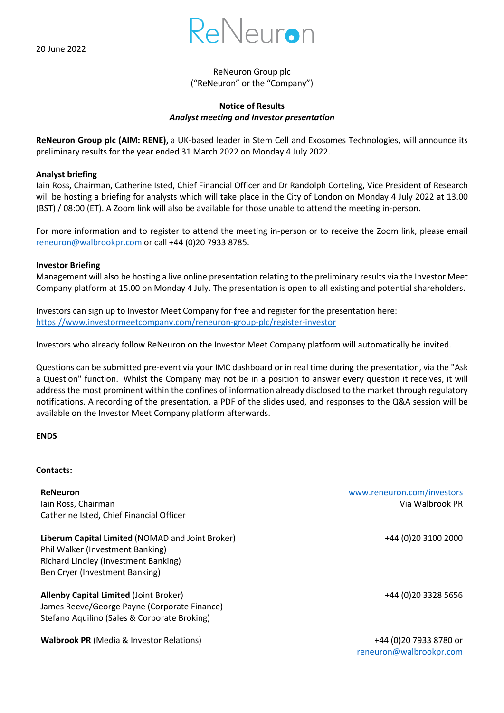

# ReNeuron Group plc ("ReNeuron" or the "Company")

## **Notice of Results** *Analyst meeting and Investor presentation*

**ReNeuron Group plc (AIM: RENE),** a UK-based leader in Stem Cell and Exosomes Technologies, will announce its preliminary results for the year ended 31 March 2022 on Monday 4 July 2022.

### **Analyst briefing**

Iain Ross, Chairman, Catherine Isted, Chief Financial Officer and Dr Randolph Corteling, Vice President of Research will be hosting a briefing for analysts which will take place in the City of London on Monday 4 July 2022 at 13.00 (BST) / 08:00 (ET). A Zoom link will also be available for those unable to attend the meeting in-person.

For more information and to register to attend the meeting in-person or to receive the Zoom link, please email [reneuron@walbrookpr.com](mailto:reneuron@walbrookpr.com) or call +44 (0)20 7933 8785.

#### **Investor Briefing**

Management will also be hosting a live online presentation relating to the preliminary results via the Investor Meet Company platform at 15.00 on Monday 4 July. The presentation is open to all existing and potential shareholders.

Investors can sign up to Investor Meet Company for free and register for the presentation here: <https://www.investormeetcompany.com/reneuron-group-plc/register-investor>

Investors who already follow ReNeuron on the Investor Meet Company platform will automatically be invited.

Questions can be submitted pre-event via your IMC dashboard or in real time during the presentation, via the "Ask a Question" function. Whilst the Company may not be in a position to answer every question it receives, it will address the most prominent within the confines of information already disclosed to the market through regulatory notifications. A recording of the presentation, a PDF of the slides used, and responses to the Q&A session will be available on the Investor Meet Company platform afterwards.

#### **ENDS**

#### **Contacts:**

**ReNeuron** [www.reneuron.com/investors](http://www.reneuron.com/investors) Iain Ross, Chairman Via Walbrook PR Catherine Isted, Chief Financial Officer

**Liberum Capital Limited** (NOMAD and Joint Broker) Phil Walker (Investment Banking) Richard Lindley (Investment Banking) Ben Cryer (Investment Banking)

**Allenby Capital Limited** (Joint Broker) +44 (0)20 3328 5656 James Reeve/George Payne (Corporate Finance) Stefano Aquilino (Sales & Corporate Broking)

**Walbrook PR** (Media & Investor Relations) +44 (0)20 7933 8780 or

+44 (0)20 3100 2000

[reneuron@walbrookpr.com](mailto:reneuron@walbrookpr.com)